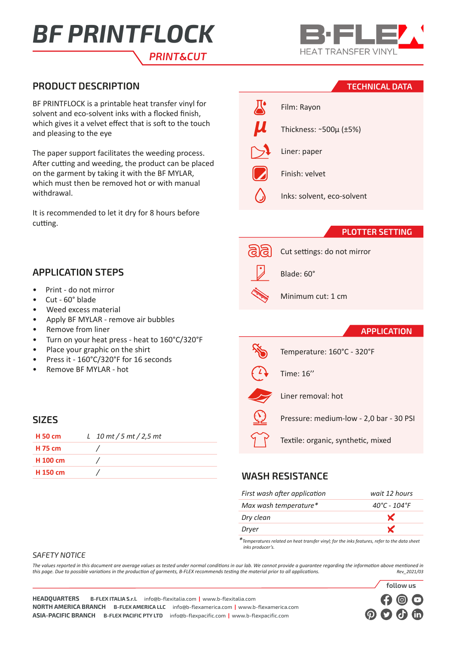# *PRINT*&*CUT BF PRINTFLOCK*



# **PRODUCT DESCRIPTION TECHNICAL DATA**

BF PRINTFLOCK is a printable heat transfer vinyl for solvent and eco-solvent inks with a flocked finish, which gives it a velvet effect that is soft to the touch and pleasing to the eye

The paper support facilitates the weeding process. After cutting and weeding, the product can be placed on the garment by taking it with the BF MYLAR, which must then be removed hot or with manual withdrawal.

It is recommended to let it dry for 8 hours before cutting.

# **APPLICATION STEPS**

- Print do not mirror
- Cut 60° blade
- Weed excess material
- Apply BF MYLAR remove air bubbles
- Remove from liner
- Turn on your heat press heat to 160°C/320°F
- Place your graphic on the shirt
- Press it 160°C/320°F for 16 seconds
- Remove BF MYLAR hot

## **SIZES**

| <b>H</b> 50 cm | L 10 mt / 5 mt / 2,5 mt |
|----------------|-------------------------|
| <b>H</b> 75 cm |                         |
| H 100 cm       |                         |
| H 150 cm       |                         |

|                    | Film: Rayon                |
|--------------------|----------------------------|
| $\boldsymbol{\mu}$ | Thickness: ~500µ (±5%)     |
|                    | Liner: paper               |
|                    | Finish: velvet             |
|                    | Inks: solvent, eco-solvent |

#### **PLOTTER SETTING**

Cut settings: do not mirror



Blade: 60°

Time: 16''

### Minimum cut: 1 cm

#### **APPLICATION**

Temperature: 160°C - 320°F

Liner removal: hot

Pressure: medium-low - 2,0 bar - 30 PSI

Textile: organic, synthetic, mixed

# **WASH RESISTANCE**

| First wash after application | wait 12 hours                     |
|------------------------------|-----------------------------------|
| Max wash temperature*        | $40^{\circ}$ C - 104 $^{\circ}$ F |
| Dry clean                    | X                                 |
| Dryer                        |                                   |
|                              |                                   |

*\*Temperatures related on heat transfer vinyl; for the inks features, refer to the data sheet inks producer's.*

#### *SAFETY NOTICE*

*The values reported in this document are average values as tested under normal conditions in our lab. We cannot provide a guarantee regarding the information above mentioned in this page. Due to possible variations in the production of garments, B-FLEX recommends testing the material prior to all applications.* 



**HEADQUARTERS B-FLEX ITALIA S.r.l.** info@b-flexitalia.com **|** www.b-flexitalia.com **NORTH AMERICA BRANCH B-FLEX AMERICA LLC** info@b-flexamerica.com **|** www.b-flexamerica.com **ASIA-PACIFIC BRANCH B-FLEX PACIFIC PTY LTD** info@b-flexpacific.com **|** www.b-flexpacific.com